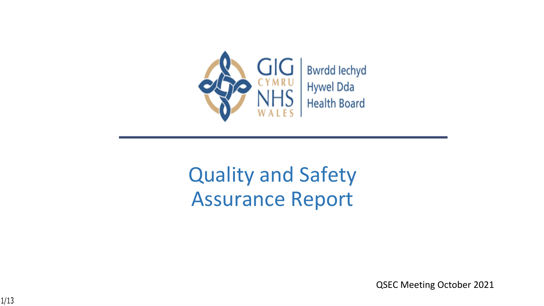

# Quality and Safety Assurance Report

QSEC Meeting October 2021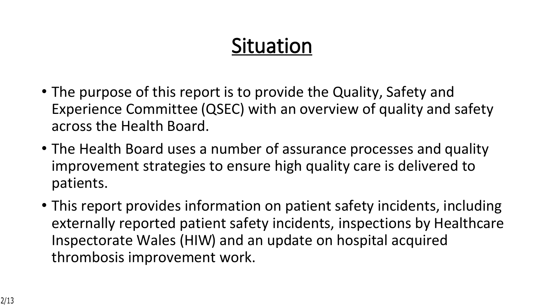# **Situation**

- The purpose of this report is to provide the Quality, Safety and Experience Committee (QSEC) with an overview of quality and safety across the Health Board.
- The Health Board uses a number of assurance processes and quality improvement strategies to ensure high quality care is delivered to patients.
- This report provides information on patient safety incidents, including externally reported patient safety incidents, inspections by Healthcare Inspectorate Wales (HIW) and an update on hospital acquired thrombosis improvement work.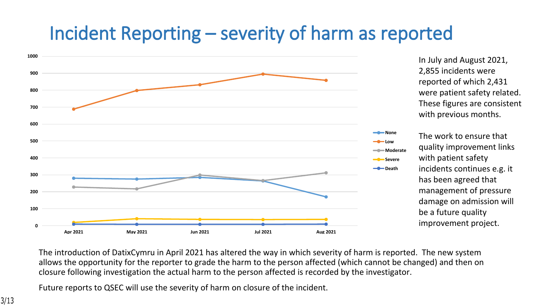# **Incident Reporting – severity of harm as reported**



In July and August 2021, 2,855 incidents were reported of which 2,431 were patient safety related. These figures are consistent with previous months.

The work to ensure that quality improvement links with patient safety incidents continues e.g. it has been agreed that management of pressure damage on admission will be a future quality improvement project.

The introduction of DatixCymru in April 2021 has altered the way in which severity of harm is reported. The new system allows the opportunity for the reporter to grade the harm to the person affected (which cannot be changed) and then on closure following investigation the actual harm to the person affected is recorded by the investigator.

Future reports to QSEC will use the severity of harm on closure of the incident.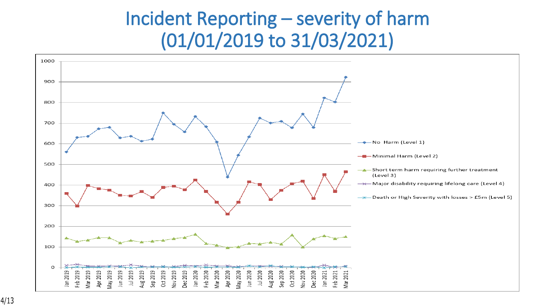# **Incident Reporting – severity of harm (01/01/2019 to 31/03/2021)**

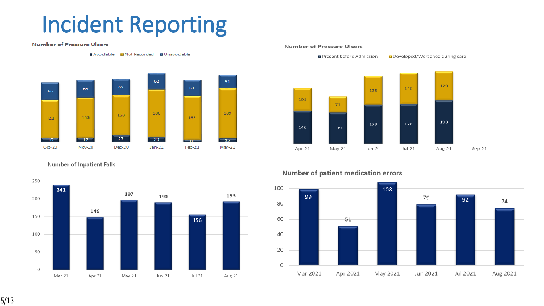# **Incident Reporting**

#### **Number of Pressure Ulcers**

Avoidable Mot Recorded Munavoidable



**Number of Inpatient Falls** 



#### Number of Pressure Ulcers

Present before Admission Developed/Worsened during care



#### Number of patient medication errors



5/13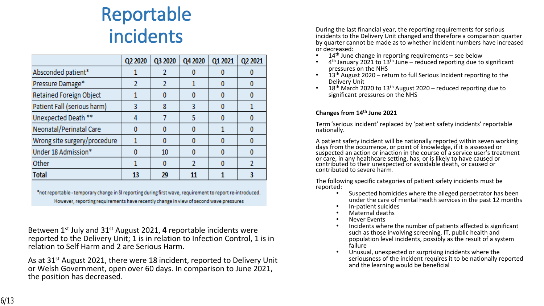# **Reportable incidents**

|                              | Q2 2020 | Q3 2020 | Q4 2020 | Q1 2021 | Q2 2021 |
|------------------------------|---------|---------|---------|---------|---------|
| Absconded patient*           |         |         |         |         |         |
| Pressure Damage*             |         |         |         |         | o       |
| Retained Foreign Object      |         | 0       | n       |         |         |
| Patient Fall (serious harm)  |         | 8       | 3       |         |         |
| Unexpected Death **          |         |         | 5       |         | 0       |
| Neonatal/Perinatal Care      |         | 0       | Ω       |         |         |
| Wrong site surgery/procedure |         | 0       |         |         |         |
| Under 18 Admission*          |         | 10      |         |         | 0       |
| Other                        |         | 0       | 2       |         |         |
| <b>Total</b>                 | 13      | 29      | 11      |         |         |

\*not reportable - temporary change in SI reporting during first wave, requirement to report re-introduced. However, reporting requirements have recently change in view of second wave pressures

Between 1st July and 31st August 2021, **4** reportable incidents were reported to the Delivery Unit; 1 is in relation to Infection Control, 1 is in relation to Self Harm and 2 are Serious Harm.

As at 31st August 2021, there were 18 incident, reported to Delivery Unit or Welsh Government, open over 60 days. In comparison to June 2021, the position has decreased.

During the last financial year, the reporting requirements for serious incidents to the Delivery Unit changed and therefore a comparison quarter by quarter cannot be made as to whether incident numbers have increased or decreased:

- $\bullet$  14<sup>th</sup> June change in reporting requirements see below
- $\bullet$  4<sup>th</sup> January 2021 to 13<sup>th</sup> June reduced reporting due to significant pressures on the NHS
- $\cdot$  13<sup>th</sup> August 2020 return to full Serious Incident reporting to the Delivery Unit
- 18<sup>th</sup> March 2020 to 13<sup>th</sup> August 2020 reduced reporting due to significant pressures on the NHS

### **Changes from 14th June 2021**

Term 'serious incident' replaced by 'patient safety incidents' reportable nationally.

A patient safety incident will be nationally reported within seven working days from the occurrence, or point of knowledge, if it is assessed or suspected an action or inaction in the course of a service user's treatment or care, in any healthcare setting, has, or is likely to have caused or contributed to their unexpected or avoidable death, or caused or contributed to severe harm.

The following specific categories of patient safety incidents must be reported:

- Suspected homicides where the alleged perpetrator has been under the care of mental health services in the past 12 months
- In-patient suicides
- Maternal deaths
- **Never Events**
- Incidents where the number of patients affected is significant such as those involving screening, IT, public health and population level incidents, possibly as the result of a system failure
- Unusual, unexpected or surprising incidents where the seriousness of the incident requires it to be nationally reported and the learning would be beneficial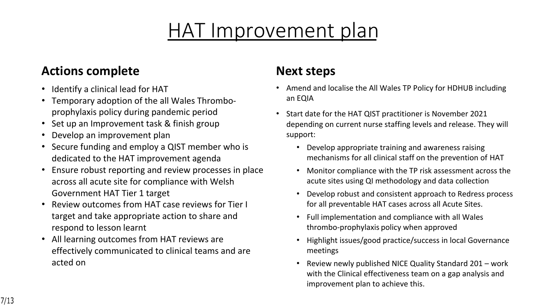# HAT Improvement plan

## **Actions complete**

- Identify a clinical lead for HAT
- Temporary adoption of the all Wales Thromboprophylaxis policy during pandemic period
- Set up an Improvement task & finish group
- Develop an improvement plan
- Secure funding and employ a QIST member who is dedicated to the HAT improvement agenda
- Ensure robust reporting and review processes in place across all acute site for compliance with Welsh Government HAT Tier 1 target
- Review outcomes from HAT case reviews for Tier I target and take appropriate action to share and respond to lesson learnt
- All learning outcomes from HAT reviews are effectively communicated to clinical teams and are acted on

## **Next steps**

- Amend and localise the All Wales TP Policy for HDHUB including an EQIA
- Start date for the HAT QIST practitioner is November 2021 depending on current nurse staffing levels and release. They will support:
	- Develop appropriate training and awareness raising mechanisms for all clinical staff on the prevention of HAT
	- Monitor compliance with the TP risk assessment across the acute sites using QI methodology and data collection
	- Develop robust and consistent approach to Redress process for all preventable HAT cases across all Acute Sites.
	- Full implementation and compliance with all Wales thrombo-prophylaxis policy when approved
	- Highlight issues/good practice/success in local Governance meetings
	- Review newly published NICE Quality Standard 201 work with the Clinical effectiveness team on a gap analysis and improvement plan to achieve this.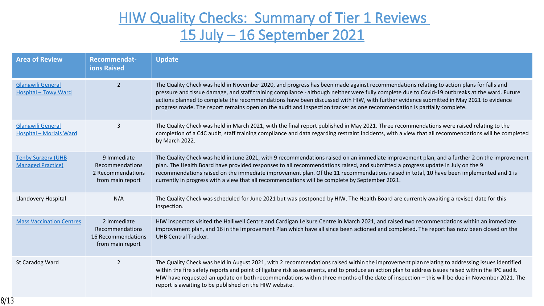

 $\bigstar$ 

 $#$ 

| $$ )$ $'$                                         | & % %<br>$\overrightarrow{4}$ #                                         | $\pm$                                                                                                                                                                                                                                                                 |
|---------------------------------------------------|-------------------------------------------------------------------------|-----------------------------------------------------------------------------------------------------------------------------------------------------------------------------------------------------------------------------------------------------------------------|
| 8 <sup>8</sup><br>8 <sup>°</sup><br>8<br>$\alpha$ |                                                                         | $-8$<br># #<br>#<br>#<br>$\prec$<br>? C<br>#<br>? 8<br>#<br>$\#$<br>$(+, ! #8)$<br># #<br>#<br>$\alpha$<br>#<br>$\star$<br># #<br>#                                                                                                                                   |
| & 8<br>-8                                         | $\overline{4}$                                                          | # #<br>$\alpha$<br>$\frac{1}{8}$<br>$\star$<br>$-8$<br>$\frac{1}{8}$<br>$\#$<br>$\#$<br>$\mathbf{3}$<br>$\boldsymbol{\alpha}$<br>$\mathbf{I}$<br>$\star$                                                                                                              |
| \$6()<br>$\%$                                     | $C + # #$<br># #<br>$\begin{array}{r} \# \# \\ \# \quad \# \end{array}$ | # #<br># #<br>$\frac{1}{8}$<br>$\mathsf{C}$<br>$\overline{0}$<br>#<br>$-8$<br>#<br># #<br>$\star$<br>$\mathcal{L}$<br>$\mathbf{I}$<br>#<br># #<br># #<br># #<br>#<br>* $#$<br>#<br>$\alpha$<br>$\#$ $\#$<br>$\star$<br>$\boldsymbol{\alpha}$<br>$\alpha$<br>$\#$<br># |
| $\mathsf D$                                       | $<$ B                                                                   | $\boldsymbol{\alpha}$<br>$\overline{0}$<br>$-8$<br>$(+, *$<br>$\left( \right)$<br>$\boldsymbol{\alpha}$<br>$\star$                                                                                                                                                    |
| F.                                                | $+$ # #<br># #<br># #<br>9 <sup>°</sup><br>$#$ #                        | # #<br>$\mathbf{I}$<br>$\frac{8}{x}$<br>$8 + #$<br>$\mathsf D$<br>$( + ,$<br>#<br>$\#$<br>$\overline{A}$<br>$\alpha$<br>8#<br>#<br>9<br>6()<br>a.                                                                                                                     |
| $\mathcal{L}_{\mathcal{L}}$                       |                                                                         | $\#$<br>$-8$<br>$\frac{1}{8}$<br># #<br>$\boldsymbol{\alpha}$<br>$\#$<br>$\begin{array}{c} 8 \\ (+, \end{array}$<br>#<br>$\blacksquare$<br># #<br>$\mathbf{H}$<br>$\#$<br>$\frac{8}{x}$<br>$(+, 8)$<br>$8\phantom{1}$                                                 |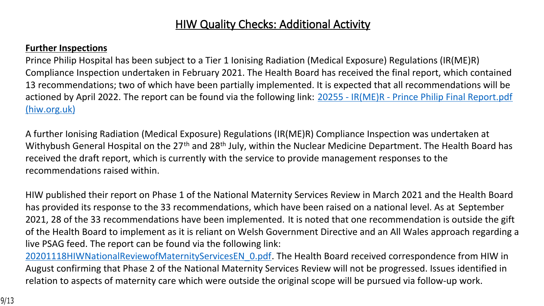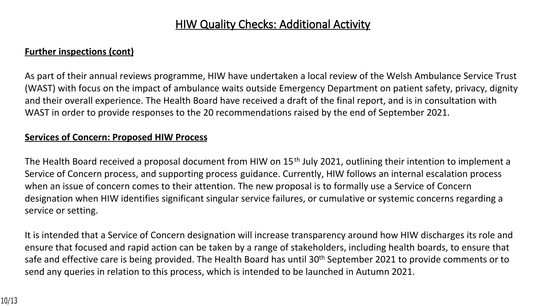## **HIW Quality Checks: Additional Activity**

### **Further inspections (cont)**

As part of their annual reviews programme, HIW have undertaken a local review of the Welsh Ambulance Service Trust (WAST) with focus on the impact of ambulance waits outside Emergency Department on patient safety, privacy, dignity and their overall experience. The Health Board have received a draft of the final report, and is in consultation with WAST in order to provide responses to the 20 recommendations raised by the end of September 2021.

### **Services of Concern: Proposed HIW Process**

The Health Board received a proposal document from HIW on 15<sup>th</sup> July 2021, outlining their intention to implement a Service of Concern process, and supporting process guidance. Currently, HIW follows an internal escalation process when an issue of concern comes to their attention. The new proposal is to formally use a Service of Concern designation when HIW identifies significant singular service failures, or cumulative or systemic concerns regarding a service or setting.

It is intended that a Service of Concern designation will increase transparency around how HIW discharges its role and ensure that focused and rapid action can be taken by a range of stakeholders, including health boards, to ensure that safe and effective care is being provided. The Health Board has until 30<sup>th</sup> September 2021 to provide comments or to send any queries in relation to this process, which is intended to be launched in Autumn 2021.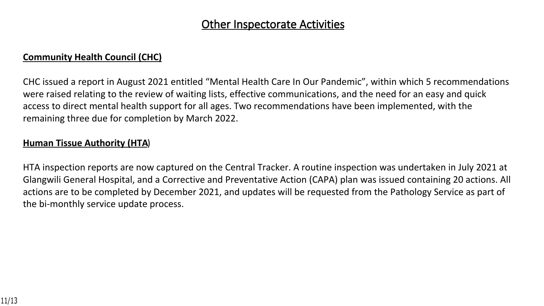## **Other Inspectorate Activities**

## **Community Health Council (CHC)**

CHC issued a report in August 2021 entitled "Mental Health Care In Our Pandemic", within which 5 recommendations were raised relating to the review of waiting lists, effective communications, and the need for an easy and quick access to direct mental health support for all ages. Two recommendations have been implemented, with the remaining three due for completion by March 2022.

### **Human Tissue Authority (HTA**)

HTA inspection reports are now captured on the Central Tracker. A routine inspection was undertaken in July 2021 at Glangwili General Hospital, and a Corrective and Preventative Action (CAPA) plan was issued containing 20 actions. All actions are to be completed by December 2021, and updates will be requested from the Pathology Service as part of the bi-monthly service update process.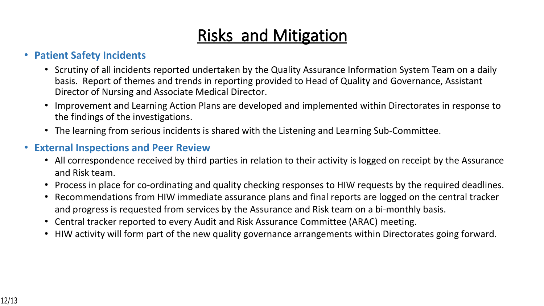# **Risks and Mitigation**

## • **Patient Safety Incidents**

- Scrutiny of all incidents reported undertaken by the Quality Assurance Information System Team on a daily basis. Report of themes and trends in reporting provided to Head of Quality and Governance, Assistant Director of Nursing and Associate Medical Director.
- Improvement and Learning Action Plans are developed and implemented within Directorates in response to the findings of the investigations.
- The learning from serious incidents is shared with the Listening and Learning Sub-Committee.

## • **External Inspections and Peer Review**

- All correspondence received by third parties in relation to their activity is logged on receipt by the Assurance and Risk team.
- Process in place for co-ordinating and quality checking responses to HIW requests by the required deadlines.
- Recommendations from HIW immediate assurance plans and final reports are logged on the central tracker and progress is requested from services by the Assurance and Risk team on a bi-monthly basis.
- Central tracker reported to every Audit and Risk Assurance Committee (ARAC) meeting.
- HIW activity will form part of the new quality governance arrangements within Directorates going forward.